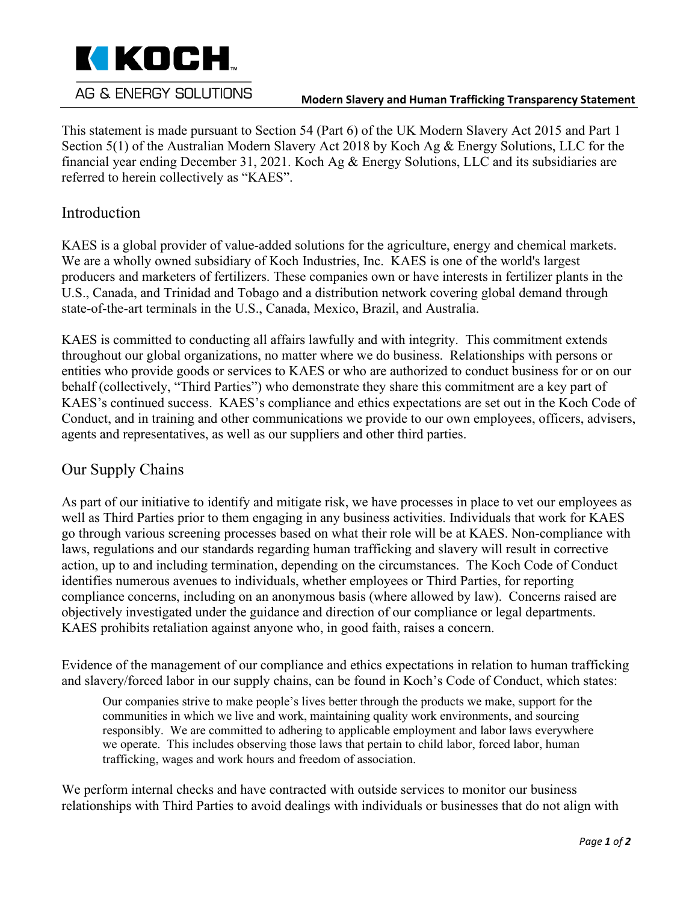

#### **Modern Slavery and Human Trafficking Transparency Statement**

This statement is made pursuant to Section 54 (Part 6) of the UK Modern Slavery Act 2015 and Part 1 Section 5(1) of the Australian Modern Slavery Act 2018 by Koch Ag & Energy Solutions, LLC for the financial year ending December 31, 2021. Koch Ag & Energy Solutions, LLC and its subsidiaries are referred to herein collectively as "KAES".

### Introduction

KAES is a global provider of value-added solutions for the agriculture, energy and chemical markets. We are a wholly owned subsidiary of Koch Industries, Inc. KAES is one of the world's largest producers and marketers of fertilizers. These companies own or have interests in fertilizer plants in the U.S., Canada, and Trinidad and Tobago and a distribution network covering global demand through state-of-the-art terminals in the U.S., Canada, Mexico, Brazil, and Australia.

KAES is committed to conducting all affairs lawfully and with integrity. This commitment extends throughout our global organizations, no matter where we do business. Relationships with persons or entities who provide goods or services to KAES or who are authorized to conduct business for or on our behalf (collectively, "Third Parties") who demonstrate they share this commitment are a key part of KAES's continued success. KAES's compliance and ethics expectations are set out in the Koch Code of Conduct, and in training and other communications we provide to our own employees, officers, advisers, agents and representatives, as well as our suppliers and other third parties.

### Our Supply Chains

As part of our initiative to identify and mitigate risk, we have processes in place to vet our employees as well as Third Parties prior to them engaging in any business activities. Individuals that work for KAES go through various screening processes based on what their role will be at KAES. Non-compliance with laws, regulations and our standards regarding human trafficking and slavery will result in corrective action, up to and including termination, depending on the circumstances. The Koch Code of Conduct identifies numerous avenues to individuals, whether employees or Third Parties, for reporting compliance concerns, including on an anonymous basis (where allowed by law). Concerns raised are objectively investigated under the guidance and direction of our compliance or legal departments. KAES prohibits retaliation against anyone who, in good faith, raises a concern.

Evidence of the management of our compliance and ethics expectations in relation to human trafficking and slavery/forced labor in our supply chains, can be found in Koch's Code of Conduct, which states:

Our companies strive to make people's lives better through the products we make, support for the communities in which we live and work, maintaining quality work environments, and sourcing responsibly. We are committed to adhering to applicable employment and labor laws everywhere we operate. This includes observing those laws that pertain to child labor, forced labor, human trafficking, wages and work hours and freedom of association.

We perform internal checks and have contracted with outside services to monitor our business relationships with Third Parties to avoid dealings with individuals or businesses that do not align with